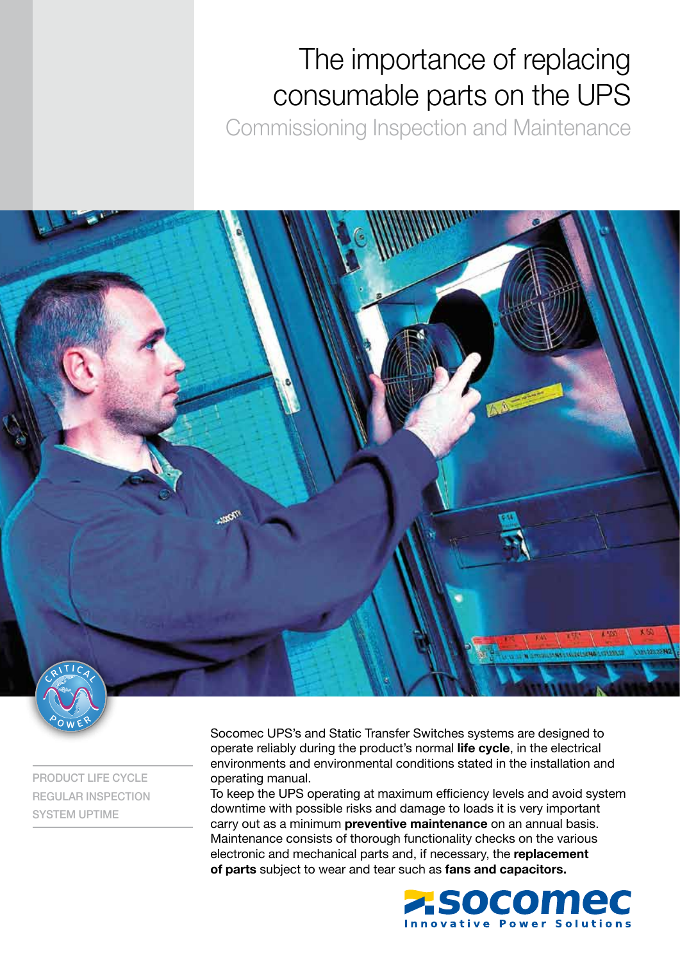# The importance of replacing consumable parts on the UPS

Commissioning Inspection and Maintenance



PRODUCT LIFE CYCLE REGULAR INSPECTION SYSTEM UPTIME

Socomec UPS's and Static Transfer Switches systems are designed to operate reliably during the product's normal life cycle, in the electrical environments and environmental conditions stated in the installation and operating manual.

To keep the UPS operating at maximum efficiency levels and avoid system downtime with possible risks and damage to loads it is very important carry out as a minimum preventive maintenance on an annual basis. Maintenance consists of thorough functionality checks on the various electronic and mechanical parts and, if necessary, the replacement of parts subject to wear and tear such as fans and capacitors.